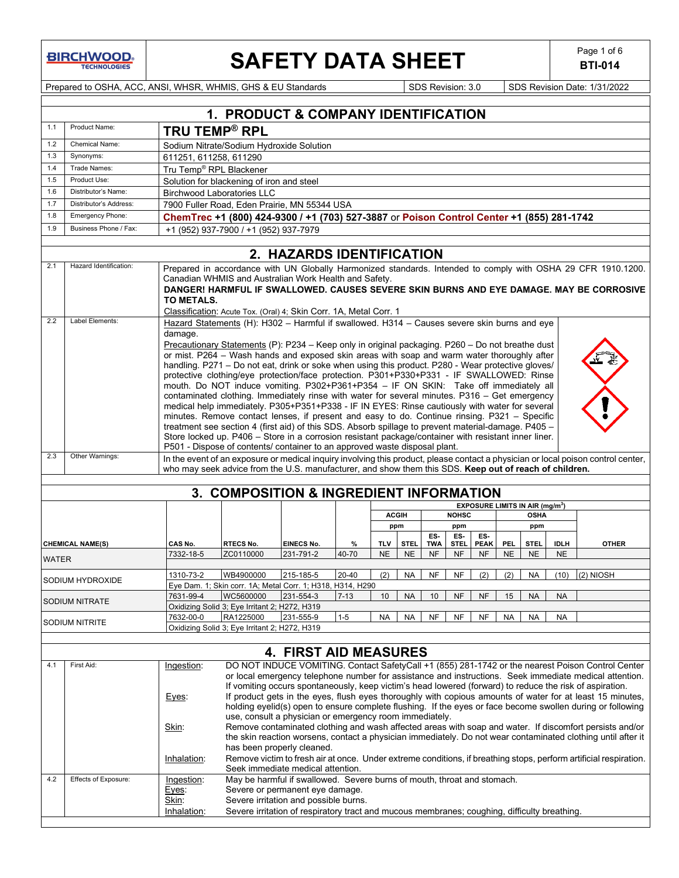**BIRCHWOOD** 

# **SAFETY DATA SHEET**  $\left| \begin{array}{c} \text{Page 1 of 6} \\ \text{BTI-014} \end{array} \right|$

**BTI-014**

Prepared to OSHA, ACC, ANSI, WHSR, WHMIS, GHS & EU Standards Superiority SDS Revision: 3.0 SDS Revision Date: 1/31/2022

|              | 1. PRODUCT & COMPANY IDENTIFICATION       |                                                                                                                                                                                                                                                                                                                                                                                                                                                                                                                                                                                                                                                                                                                                                                                                                                                                                                                                                                                                                                                                                                                                                                                                            |                                                                                                                            |                                                                                                                                       |          |                     |             |            |                     |                                             |                    |             |                                                                                                                                                                                                         |
|--------------|-------------------------------------------|------------------------------------------------------------------------------------------------------------------------------------------------------------------------------------------------------------------------------------------------------------------------------------------------------------------------------------------------------------------------------------------------------------------------------------------------------------------------------------------------------------------------------------------------------------------------------------------------------------------------------------------------------------------------------------------------------------------------------------------------------------------------------------------------------------------------------------------------------------------------------------------------------------------------------------------------------------------------------------------------------------------------------------------------------------------------------------------------------------------------------------------------------------------------------------------------------------|----------------------------------------------------------------------------------------------------------------------------|---------------------------------------------------------------------------------------------------------------------------------------|----------|---------------------|-------------|------------|---------------------|---------------------------------------------|--------------------|-------------|---------------------------------------------------------------------------------------------------------------------------------------------------------------------------------------------------------|
| 1.1          | Product Name:                             |                                                                                                                                                                                                                                                                                                                                                                                                                                                                                                                                                                                                                                                                                                                                                                                                                                                                                                                                                                                                                                                                                                                                                                                                            | <b>TRU TEMP<sup>®</sup> RPL</b>                                                                                            |                                                                                                                                       |          |                     |             |            |                     |                                             |                    |             |                                                                                                                                                                                                         |
| 1.2          | <b>Chemical Name:</b>                     | Sodium Nitrate/Sodium Hydroxide Solution                                                                                                                                                                                                                                                                                                                                                                                                                                                                                                                                                                                                                                                                                                                                                                                                                                                                                                                                                                                                                                                                                                                                                                   |                                                                                                                            |                                                                                                                                       |          |                     |             |            |                     |                                             |                    |             |                                                                                                                                                                                                         |
| 1.3          | Synonyms:                                 | 611251, 611258, 611290                                                                                                                                                                                                                                                                                                                                                                                                                                                                                                                                                                                                                                                                                                                                                                                                                                                                                                                                                                                                                                                                                                                                                                                     |                                                                                                                            |                                                                                                                                       |          |                     |             |            |                     |                                             |                    |             |                                                                                                                                                                                                         |
| 1.4          | Trade Names:                              |                                                                                                                                                                                                                                                                                                                                                                                                                                                                                                                                                                                                                                                                                                                                                                                                                                                                                                                                                                                                                                                                                                                                                                                                            | Tru Temp <sup>®</sup> RPL Blackener                                                                                        |                                                                                                                                       |          |                     |             |            |                     |                                             |                    |             |                                                                                                                                                                                                         |
| 1.5          | Product Use:                              |                                                                                                                                                                                                                                                                                                                                                                                                                                                                                                                                                                                                                                                                                                                                                                                                                                                                                                                                                                                                                                                                                                                                                                                                            | Solution for blackening of iron and steel                                                                                  |                                                                                                                                       |          |                     |             |            |                     |                                             |                    |             |                                                                                                                                                                                                         |
| 1.6          | Distributor's Name:                       |                                                                                                                                                                                                                                                                                                                                                                                                                                                                                                                                                                                                                                                                                                                                                                                                                                                                                                                                                                                                                                                                                                                                                                                                            | <b>Birchwood Laboratories LLC</b>                                                                                          |                                                                                                                                       |          |                     |             |            |                     |                                             |                    |             |                                                                                                                                                                                                         |
| 1.7          | Distributor's Address:                    |                                                                                                                                                                                                                                                                                                                                                                                                                                                                                                                                                                                                                                                                                                                                                                                                                                                                                                                                                                                                                                                                                                                                                                                                            | 7900 Fuller Road. Eden Prairie. MN 55344 USA                                                                               |                                                                                                                                       |          |                     |             |            |                     |                                             |                    |             |                                                                                                                                                                                                         |
| 1.8          | Emergency Phone:                          |                                                                                                                                                                                                                                                                                                                                                                                                                                                                                                                                                                                                                                                                                                                                                                                                                                                                                                                                                                                                                                                                                                                                                                                                            | ChemTrec +1 (800) 424-9300 / +1 (703) 527-3887 or Poison Control Center +1 (855) 281-1742                                  |                                                                                                                                       |          |                     |             |            |                     |                                             |                    |             |                                                                                                                                                                                                         |
| 1.9          | Business Phone / Fax:                     |                                                                                                                                                                                                                                                                                                                                                                                                                                                                                                                                                                                                                                                                                                                                                                                                                                                                                                                                                                                                                                                                                                                                                                                                            | +1 (952) 937-7900 / +1 (952) 937-7979                                                                                      |                                                                                                                                       |          |                     |             |            |                     |                                             |                    |             |                                                                                                                                                                                                         |
|              |                                           |                                                                                                                                                                                                                                                                                                                                                                                                                                                                                                                                                                                                                                                                                                                                                                                                                                                                                                                                                                                                                                                                                                                                                                                                            |                                                                                                                            |                                                                                                                                       |          |                     |             |            |                     |                                             |                    |             |                                                                                                                                                                                                         |
|              |                                           |                                                                                                                                                                                                                                                                                                                                                                                                                                                                                                                                                                                                                                                                                                                                                                                                                                                                                                                                                                                                                                                                                                                                                                                                            |                                                                                                                            | 2. HAZARDS IDENTIFICATION                                                                                                             |          |                     |             |            |                     |                                             |                    |             |                                                                                                                                                                                                         |
| 2.1<br>2.2   | Hazard Identification:<br>Label Elements: | TO METALS.                                                                                                                                                                                                                                                                                                                                                                                                                                                                                                                                                                                                                                                                                                                                                                                                                                                                                                                                                                                                                                                                                                                                                                                                 | Canadian WHMIS and Australian Work Health and Safety.<br>Classification: Acute Tox. (Oral) 4; Skin Corr. 1A, Metal Corr. 1 |                                                                                                                                       |          |                     |             |            |                     |                                             |                    |             | Prepared in accordance with UN Globally Harmonized standards. Intended to comply with OSHA 29 CFR 1910.1200.<br>DANGER! HARMFUL IF SWALLOWED. CAUSES SEVERE SKIN BURNS AND EYE DAMAGE. MAY BE CORROSIVE |
|              |                                           | Hazard Statements (H): H302 - Harmful if swallowed. H314 - Causes severe skin burns and eye<br>damage.<br><b>Precautionary Statements (P): P234 - Keep only in original packaging. P260 - Do not breathe dust</b><br>or mist. P264 - Wash hands and exposed skin areas with soap and warm water thoroughly after<br>handling. P271 - Do not eat, drink or soke when using this product. P280 - Wear protective gloves/<br>protective clothing/eye protection/face protection. P301+P330+P331 - IF SWALLOWED: Rinse<br>mouth. Do NOT induce vomiting. P302+P361+P354 - IF ON SKIN: Take off immediately all<br>contaminated clothing. Immediately rinse with water for several minutes. P316 - Get emergency<br>medical help immediately. P305+P351+P338 - IF IN EYES: Rinse cautiously with water for several<br>minutes. Remove contact lenses, if present and easy to do. Continue rinsing. P321 - Specific<br>treatment see section 4 (first aid) of this SDS. Absorb spillage to prevent material-damage. P405 -<br>Store locked up. P406 - Store in a corrosion resistant package/container with resistant inner liner.<br>P501 - Dispose of contents/ container to an approved waste disposal plant. |                                                                                                                            |                                                                                                                                       |          |                     |             |            |                     |                                             |                    |             |                                                                                                                                                                                                         |
| 2.3          | Other Warnings:                           |                                                                                                                                                                                                                                                                                                                                                                                                                                                                                                                                                                                                                                                                                                                                                                                                                                                                                                                                                                                                                                                                                                                                                                                                            |                                                                                                                            |                                                                                                                                       |          |                     |             |            |                     |                                             |                    |             | In the event of an exposure or medical inquiry involving this product, please contact a physician or local poison control center,                                                                       |
|              |                                           |                                                                                                                                                                                                                                                                                                                                                                                                                                                                                                                                                                                                                                                                                                                                                                                                                                                                                                                                                                                                                                                                                                                                                                                                            | who may seek advice from the U.S. manufacturer, and show them this SDS. Keep out of reach of children.                     |                                                                                                                                       |          |                     |             |            |                     |                                             |                    |             |                                                                                                                                                                                                         |
|              |                                           |                                                                                                                                                                                                                                                                                                                                                                                                                                                                                                                                                                                                                                                                                                                                                                                                                                                                                                                                                                                                                                                                                                                                                                                                            |                                                                                                                            |                                                                                                                                       |          |                     |             |            |                     |                                             |                    |             |                                                                                                                                                                                                         |
|              |                                           |                                                                                                                                                                                                                                                                                                                                                                                                                                                                                                                                                                                                                                                                                                                                                                                                                                                                                                                                                                                                                                                                                                                                                                                                            | 3. COMPOSITION & INGREDIENT INFORMATION                                                                                    |                                                                                                                                       |          |                     |             |            |                     |                                             |                    |             |                                                                                                                                                                                                         |
|              |                                           |                                                                                                                                                                                                                                                                                                                                                                                                                                                                                                                                                                                                                                                                                                                                                                                                                                                                                                                                                                                                                                                                                                                                                                                                            |                                                                                                                            |                                                                                                                                       |          |                     |             |            |                     | EXPOSURE LIMITS IN AIR (mg/m <sup>3</sup> ) |                    |             |                                                                                                                                                                                                         |
|              |                                           |                                                                                                                                                                                                                                                                                                                                                                                                                                                                                                                                                                                                                                                                                                                                                                                                                                                                                                                                                                                                                                                                                                                                                                                                            |                                                                                                                            |                                                                                                                                       |          | <b>ACGIH</b><br>ppm |             |            | <b>NOHSC</b><br>ppm |                                             | <b>OSHA</b><br>ppm |             |                                                                                                                                                                                                         |
|              |                                           |                                                                                                                                                                                                                                                                                                                                                                                                                                                                                                                                                                                                                                                                                                                                                                                                                                                                                                                                                                                                                                                                                                                                                                                                            |                                                                                                                            |                                                                                                                                       |          |                     |             | ES.        | ES-                 | ES-                                         |                    |             |                                                                                                                                                                                                         |
|              | <b>CHEMICAL NAME(S)</b>                   | CAS No.                                                                                                                                                                                                                                                                                                                                                                                                                                                                                                                                                                                                                                                                                                                                                                                                                                                                                                                                                                                                                                                                                                                                                                                                    | RTECS No.                                                                                                                  | <b>EINECS No.</b>                                                                                                                     | %        | <b>TLV</b>          | <b>STEL</b> | <b>TWA</b> | <b>STEL</b>         | <b>PEAK</b><br><b>PEL</b>                   | <b>STEL</b>        | <b>IDLH</b> | <b>OTHER</b>                                                                                                                                                                                            |
| <b>WATER</b> |                                           | 7332-18-5                                                                                                                                                                                                                                                                                                                                                                                                                                                                                                                                                                                                                                                                                                                                                                                                                                                                                                                                                                                                                                                                                                                                                                                                  | ZC0110000                                                                                                                  | 231-791-2                                                                                                                             | 40-70    | <b>NE</b>           | <b>NE</b>   | NF         | <b>NF</b>           | NF<br><b>NE</b>                             | <b>NE</b>          | <b>NE</b>   |                                                                                                                                                                                                         |
|              |                                           | 1310-73-2                                                                                                                                                                                                                                                                                                                                                                                                                                                                                                                                                                                                                                                                                                                                                                                                                                                                                                                                                                                                                                                                                                                                                                                                  | WB4900000                                                                                                                  |                                                                                                                                       | 20-40    |                     |             | <b>NF</b>  |                     |                                             |                    |             |                                                                                                                                                                                                         |
|              | SODIUM HYDROXIDE                          |                                                                                                                                                                                                                                                                                                                                                                                                                                                                                                                                                                                                                                                                                                                                                                                                                                                                                                                                                                                                                                                                                                                                                                                                            | Eye Dam. 1; Skin corr. 1A; Metal Corr. 1; H318, H314, H290                                                                 | 215-185-5                                                                                                                             |          | (2)                 | NA          |            | NF                  | (2)<br>(2)                                  | <b>NA</b>          | (10)        | (2) NIOSH                                                                                                                                                                                               |
|              |                                           | 7631-99-4                                                                                                                                                                                                                                                                                                                                                                                                                                                                                                                                                                                                                                                                                                                                                                                                                                                                                                                                                                                                                                                                                                                                                                                                  | WC5600000                                                                                                                  | 231-554-3                                                                                                                             | $7 - 13$ | 10                  | <b>NA</b>   | 10         | <b>NF</b>           | <b>NF</b><br>15                             | <b>NA</b>          | <b>NA</b>   |                                                                                                                                                                                                         |
|              | SODIUM NITRATE                            |                                                                                                                                                                                                                                                                                                                                                                                                                                                                                                                                                                                                                                                                                                                                                                                                                                                                                                                                                                                                                                                                                                                                                                                                            | Oxidizing Solid 3; Eye Irritant 2; H272, H319                                                                              |                                                                                                                                       |          |                     |             |            |                     |                                             |                    |             |                                                                                                                                                                                                         |
|              |                                           | 7632-00-0                                                                                                                                                                                                                                                                                                                                                                                                                                                                                                                                                                                                                                                                                                                                                                                                                                                                                                                                                                                                                                                                                                                                                                                                  | RA1225000                                                                                                                  | 231-555-9                                                                                                                             | $1 - 5$  | NA                  | NA          | <b>NF</b>  | <b>NF</b>           | <b>NF</b><br><b>NA</b>                      | <b>NA</b>          | NA.         |                                                                                                                                                                                                         |
|              | <b>SODIUM NITRITE</b>                     |                                                                                                                                                                                                                                                                                                                                                                                                                                                                                                                                                                                                                                                                                                                                                                                                                                                                                                                                                                                                                                                                                                                                                                                                            | Oxidizing Solid 3; Eye Irritant 2; H272, H319                                                                              |                                                                                                                                       |          |                     |             |            |                     |                                             |                    |             |                                                                                                                                                                                                         |
|              |                                           |                                                                                                                                                                                                                                                                                                                                                                                                                                                                                                                                                                                                                                                                                                                                                                                                                                                                                                                                                                                                                                                                                                                                                                                                            |                                                                                                                            |                                                                                                                                       |          |                     |             |            |                     |                                             |                    |             |                                                                                                                                                                                                         |
|              |                                           |                                                                                                                                                                                                                                                                                                                                                                                                                                                                                                                                                                                                                                                                                                                                                                                                                                                                                                                                                                                                                                                                                                                                                                                                            |                                                                                                                            | <b>4. FIRST AID MEASURES</b>                                                                                                          |          |                     |             |            |                     |                                             |                    |             |                                                                                                                                                                                                         |
| 4.1          | First Aid:                                | DO NOT INDUCE VOMITING. Contact SafetyCall +1 (855) 281-1742 or the nearest Poison Control Center<br>Ingestion:<br>or local emergency telephone number for assistance and instructions. Seek immediate medical attention.<br>If vomiting occurs spontaneously, keep victim's head lowered (forward) to reduce the risk of aspiration.<br>If product gets in the eyes, flush eyes thoroughly with copious amounts of water for at least 15 minutes,<br>Eyes:<br>holding eyelid(s) open to ensure complete flushing. If the eyes or face become swollen during or following                                                                                                                                                                                                                                                                                                                                                                                                                                                                                                                                                                                                                                  |                                                                                                                            |                                                                                                                                       |          |                     |             |            |                     |                                             |                    |             |                                                                                                                                                                                                         |
|              |                                           |                                                                                                                                                                                                                                                                                                                                                                                                                                                                                                                                                                                                                                                                                                                                                                                                                                                                                                                                                                                                                                                                                                                                                                                                            |                                                                                                                            |                                                                                                                                       |          |                     |             |            |                     |                                             |                    |             |                                                                                                                                                                                                         |
|              |                                           | Skin:                                                                                                                                                                                                                                                                                                                                                                                                                                                                                                                                                                                                                                                                                                                                                                                                                                                                                                                                                                                                                                                                                                                                                                                                      |                                                                                                                            | use, consult a physician or emergency room immediately.                                                                               |          |                     |             |            |                     |                                             |                    |             | Remove contaminated clothing and wash affected areas with soap and water. If discomfort persists and/or                                                                                                 |
|              |                                           |                                                                                                                                                                                                                                                                                                                                                                                                                                                                                                                                                                                                                                                                                                                                                                                                                                                                                                                                                                                                                                                                                                                                                                                                            |                                                                                                                            |                                                                                                                                       |          |                     |             |            |                     |                                             |                    |             | the skin reaction worsens, contact a physician immediately. Do not wear contaminated clothing until after it                                                                                            |
|              |                                           |                                                                                                                                                                                                                                                                                                                                                                                                                                                                                                                                                                                                                                                                                                                                                                                                                                                                                                                                                                                                                                                                                                                                                                                                            |                                                                                                                            | has been properly cleaned.                                                                                                            |          |                     |             |            |                     |                                             |                    |             |                                                                                                                                                                                                         |
|              |                                           |                                                                                                                                                                                                                                                                                                                                                                                                                                                                                                                                                                                                                                                                                                                                                                                                                                                                                                                                                                                                                                                                                                                                                                                                            |                                                                                                                            |                                                                                                                                       |          |                     |             |            |                     |                                             |                    |             |                                                                                                                                                                                                         |
|              |                                           | Inhalation:                                                                                                                                                                                                                                                                                                                                                                                                                                                                                                                                                                                                                                                                                                                                                                                                                                                                                                                                                                                                                                                                                                                                                                                                |                                                                                                                            |                                                                                                                                       |          |                     |             |            |                     |                                             |                    |             | Remove victim to fresh air at once. Under extreme conditions, if breathing stops, perform artificial respiration.                                                                                       |
|              |                                           |                                                                                                                                                                                                                                                                                                                                                                                                                                                                                                                                                                                                                                                                                                                                                                                                                                                                                                                                                                                                                                                                                                                                                                                                            |                                                                                                                            | Seek immediate medical attention.                                                                                                     |          |                     |             |            |                     |                                             |                    |             |                                                                                                                                                                                                         |
| 4.2          | Effects of Exposure:                      | Ingestion:                                                                                                                                                                                                                                                                                                                                                                                                                                                                                                                                                                                                                                                                                                                                                                                                                                                                                                                                                                                                                                                                                                                                                                                                 |                                                                                                                            | May be harmful if swallowed. Severe burns of mouth, throat and stomach.                                                               |          |                     |             |            |                     |                                             |                    |             |                                                                                                                                                                                                         |
|              |                                           | Eyes:                                                                                                                                                                                                                                                                                                                                                                                                                                                                                                                                                                                                                                                                                                                                                                                                                                                                                                                                                                                                                                                                                                                                                                                                      |                                                                                                                            | Severe or permanent eye damage.                                                                                                       |          |                     |             |            |                     |                                             |                    |             |                                                                                                                                                                                                         |
|              |                                           | Skin:<br>Inhalation:                                                                                                                                                                                                                                                                                                                                                                                                                                                                                                                                                                                                                                                                                                                                                                                                                                                                                                                                                                                                                                                                                                                                                                                       |                                                                                                                            | Severe irritation and possible burns.<br>Severe irritation of respiratory tract and mucous membranes; coughing, difficulty breathing. |          |                     |             |            |                     |                                             |                    |             |                                                                                                                                                                                                         |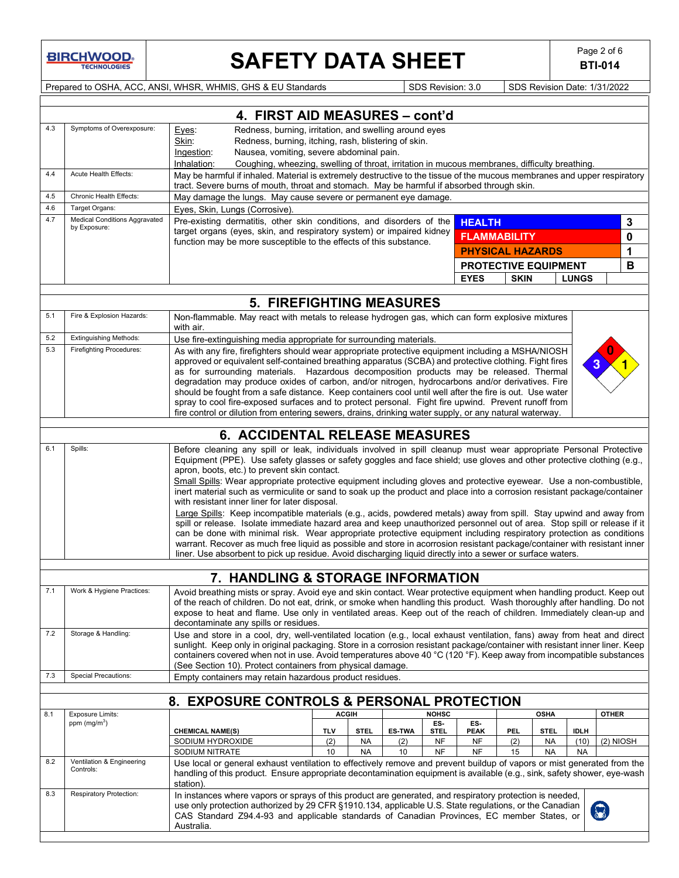**BIRCHWOOD** 

# **SAFETY DATA SHEET** Page 2 of 6<br>BTI-014

**BTI-014**

Prepared to OSHA, ACC, ANSI, WHSR, WHMIS, GHS & EU Standards Superinted Superinted SDS Revision: 3.0 SDS Revision Date: 1/31/2022

|            | 4. FIRST AID MEASURES - cont'd                                                                                                                                                                                                                                                                                                                                                                                                                                                                                                                                                                                                                                                                                                                                                                                                                                                                                                                                                                                                                                                                   |                                                                                                                                                                                                                                                                                                                                                                                                                                               |               |                        |               |                     |                             |             |                        |                   |              |
|------------|--------------------------------------------------------------------------------------------------------------------------------------------------------------------------------------------------------------------------------------------------------------------------------------------------------------------------------------------------------------------------------------------------------------------------------------------------------------------------------------------------------------------------------------------------------------------------------------------------------------------------------------------------------------------------------------------------------------------------------------------------------------------------------------------------------------------------------------------------------------------------------------------------------------------------------------------------------------------------------------------------------------------------------------------------------------------------------------------------|-----------------------------------------------------------------------------------------------------------------------------------------------------------------------------------------------------------------------------------------------------------------------------------------------------------------------------------------------------------------------------------------------------------------------------------------------|---------------|------------------------|---------------|---------------------|-----------------------------|-------------|------------------------|-------------------|--------------|
| 4.3        | Symptoms of Overexposure:                                                                                                                                                                                                                                                                                                                                                                                                                                                                                                                                                                                                                                                                                                                                                                                                                                                                                                                                                                                                                                                                        | Redness, burning, irritation, and swelling around eyes<br>Eyes:                                                                                                                                                                                                                                                                                                                                                                               |               |                        |               |                     |                             |             |                        |                   |              |
|            |                                                                                                                                                                                                                                                                                                                                                                                                                                                                                                                                                                                                                                                                                                                                                                                                                                                                                                                                                                                                                                                                                                  | Redness, burning, itching, rash, blistering of skin.<br>Skin:                                                                                                                                                                                                                                                                                                                                                                                 |               |                        |               |                     |                             |             |                        |                   |              |
|            |                                                                                                                                                                                                                                                                                                                                                                                                                                                                                                                                                                                                                                                                                                                                                                                                                                                                                                                                                                                                                                                                                                  | Nausea, vomiting, severe abdominal pain.<br>Ingestion:                                                                                                                                                                                                                                                                                                                                                                                        |               |                        |               |                     |                             |             |                        |                   |              |
| 4.4        | Acute Health Effects:                                                                                                                                                                                                                                                                                                                                                                                                                                                                                                                                                                                                                                                                                                                                                                                                                                                                                                                                                                                                                                                                            | Inhalation:<br>Coughing, wheezing, swelling of throat, irritation in mucous membranes, difficulty breathing.                                                                                                                                                                                                                                                                                                                                  |               |                        |               |                     |                             |             |                        |                   |              |
|            |                                                                                                                                                                                                                                                                                                                                                                                                                                                                                                                                                                                                                                                                                                                                                                                                                                                                                                                                                                                                                                                                                                  | May be harmful if inhaled. Material is extremely destructive to the tissue of the mucous membranes and upper respiratory<br>tract. Severe burns of mouth, throat and stomach. May be harmful if absorbed through skin.                                                                                                                                                                                                                        |               |                        |               |                     |                             |             |                        |                   |              |
| 4.5<br>4.6 | Chronic Health Effects:                                                                                                                                                                                                                                                                                                                                                                                                                                                                                                                                                                                                                                                                                                                                                                                                                                                                                                                                                                                                                                                                          | May damage the lungs. May cause severe or permanent eye damage.                                                                                                                                                                                                                                                                                                                                                                               |               |                        |               |                     |                             |             |                        |                   |              |
| 4.7        | Target Organs:<br><b>Medical Conditions Aggravated</b>                                                                                                                                                                                                                                                                                                                                                                                                                                                                                                                                                                                                                                                                                                                                                                                                                                                                                                                                                                                                                                           | Eyes, Skin, Lungs (Corrosive).                                                                                                                                                                                                                                                                                                                                                                                                                |               |                        |               |                     |                             |             |                        |                   |              |
|            | by Exposure:                                                                                                                                                                                                                                                                                                                                                                                                                                                                                                                                                                                                                                                                                                                                                                                                                                                                                                                                                                                                                                                                                     | Pre-existing dermatitis, other skin conditions, and disorders of the<br>target organs (eyes, skin, and respiratory system) or impaired kidney                                                                                                                                                                                                                                                                                                 |               |                        |               |                     | <b>HEALTH</b>               |             |                        |                   | 3            |
|            |                                                                                                                                                                                                                                                                                                                                                                                                                                                                                                                                                                                                                                                                                                                                                                                                                                                                                                                                                                                                                                                                                                  | function may be more susceptible to the effects of this substance.                                                                                                                                                                                                                                                                                                                                                                            |               |                        |               |                     | <b>FLAMMABILITY</b>         |             |                        |                   | 0            |
|            |                                                                                                                                                                                                                                                                                                                                                                                                                                                                                                                                                                                                                                                                                                                                                                                                                                                                                                                                                                                                                                                                                                  |                                                                                                                                                                                                                                                                                                                                                                                                                                               |               |                        |               |                     | <b>PHYSICAL HAZARDS</b>     |             |                        |                   | 1            |
|            |                                                                                                                                                                                                                                                                                                                                                                                                                                                                                                                                                                                                                                                                                                                                                                                                                                                                                                                                                                                                                                                                                                  |                                                                                                                                                                                                                                                                                                                                                                                                                                               |               |                        |               |                     | <b>PROTECTIVE EQUIPMENT</b> |             |                        |                   | В            |
|            |                                                                                                                                                                                                                                                                                                                                                                                                                                                                                                                                                                                                                                                                                                                                                                                                                                                                                                                                                                                                                                                                                                  |                                                                                                                                                                                                                                                                                                                                                                                                                                               |               |                        |               |                     | <b>EYES</b>                 | <b>SKIN</b> |                        | <b>LUNGS</b>      |              |
|            |                                                                                                                                                                                                                                                                                                                                                                                                                                                                                                                                                                                                                                                                                                                                                                                                                                                                                                                                                                                                                                                                                                  | <b>5. FIREFIGHTING MEASURES</b>                                                                                                                                                                                                                                                                                                                                                                                                               |               |                        |               |                     |                             |             |                        |                   |              |
| 5.1        | Fire & Explosion Hazards:                                                                                                                                                                                                                                                                                                                                                                                                                                                                                                                                                                                                                                                                                                                                                                                                                                                                                                                                                                                                                                                                        | Non-flammable. May react with metals to release hydrogen gas, which can form explosive mixtures                                                                                                                                                                                                                                                                                                                                               |               |                        |               |                     |                             |             |                        |                   |              |
|            |                                                                                                                                                                                                                                                                                                                                                                                                                                                                                                                                                                                                                                                                                                                                                                                                                                                                                                                                                                                                                                                                                                  | with air.                                                                                                                                                                                                                                                                                                                                                                                                                                     |               |                        |               |                     |                             |             |                        |                   |              |
| 5.2        | <b>Extinguishing Methods:</b>                                                                                                                                                                                                                                                                                                                                                                                                                                                                                                                                                                                                                                                                                                                                                                                                                                                                                                                                                                                                                                                                    | Use fire-extinguishing media appropriate for surrounding materials.                                                                                                                                                                                                                                                                                                                                                                           |               |                        |               |                     |                             |             |                        |                   |              |
| 5.3        | <b>Firefighting Procedures:</b>                                                                                                                                                                                                                                                                                                                                                                                                                                                                                                                                                                                                                                                                                                                                                                                                                                                                                                                                                                                                                                                                  | As with any fire, firefighters should wear appropriate protective equipment including a MSHA/NIOSH                                                                                                                                                                                                                                                                                                                                            |               |                        |               |                     |                             |             |                        |                   |              |
|            |                                                                                                                                                                                                                                                                                                                                                                                                                                                                                                                                                                                                                                                                                                                                                                                                                                                                                                                                                                                                                                                                                                  | approved or equivalent self-contained breathing apparatus (SCBA) and protective clothing. Fight fires                                                                                                                                                                                                                                                                                                                                         |               |                        |               |                     |                             |             |                        |                   |              |
|            |                                                                                                                                                                                                                                                                                                                                                                                                                                                                                                                                                                                                                                                                                                                                                                                                                                                                                                                                                                                                                                                                                                  | as for surrounding materials. Hazardous decomposition products may be released. Thermal<br>degradation may produce oxides of carbon, and/or nitrogen, hydrocarbons and/or derivatives. Fire                                                                                                                                                                                                                                                   |               |                        |               |                     |                             |             |                        |                   |              |
|            |                                                                                                                                                                                                                                                                                                                                                                                                                                                                                                                                                                                                                                                                                                                                                                                                                                                                                                                                                                                                                                                                                                  | should be fought from a safe distance. Keep containers cool until well after the fire is out. Use water                                                                                                                                                                                                                                                                                                                                       |               |                        |               |                     |                             |             |                        |                   |              |
|            |                                                                                                                                                                                                                                                                                                                                                                                                                                                                                                                                                                                                                                                                                                                                                                                                                                                                                                                                                                                                                                                                                                  | spray to cool fire-exposed surfaces and to protect personal. Fight fire upwind. Prevent runoff from                                                                                                                                                                                                                                                                                                                                           |               |                        |               |                     |                             |             |                        |                   |              |
|            |                                                                                                                                                                                                                                                                                                                                                                                                                                                                                                                                                                                                                                                                                                                                                                                                                                                                                                                                                                                                                                                                                                  | fire control or dilution from entering sewers, drains, drinking water supply, or any natural waterway.                                                                                                                                                                                                                                                                                                                                        |               |                        |               |                     |                             |             |                        |                   |              |
|            |                                                                                                                                                                                                                                                                                                                                                                                                                                                                                                                                                                                                                                                                                                                                                                                                                                                                                                                                                                                                                                                                                                  | <b>6. ACCIDENTAL RELEASE MEASURES</b>                                                                                                                                                                                                                                                                                                                                                                                                         |               |                        |               |                     |                             |             |                        |                   |              |
| 6.1        | Spills:                                                                                                                                                                                                                                                                                                                                                                                                                                                                                                                                                                                                                                                                                                                                                                                                                                                                                                                                                                                                                                                                                          | Before cleaning any spill or leak, individuals involved in spill cleanup must wear appropriate Personal Protective                                                                                                                                                                                                                                                                                                                            |               |                        |               |                     |                             |             |                        |                   |              |
|            | Equipment (PPE). Use safety glasses or safety goggles and face shield; use gloves and other protective clothing (e.g.,<br>apron, boots, etc.) to prevent skin contact.<br>Small Spills: Wear appropriate protective equipment including gloves and protective eyewear. Use a non-combustible,<br>inert material such as vermiculite or sand to soak up the product and place into a corrosion resistant package/container<br>with resistant inner liner for later disposal.<br>Large Spills: Keep incompatible materials (e.g., acids, powdered metals) away from spill. Stay upwind and away from<br>spill or release. Isolate immediate hazard area and keep unauthorized personnel out of area. Stop spill or release if it<br>can be done with minimal risk. Wear appropriate protective equipment including respiratory protection as conditions<br>warrant. Recover as much free liquid as possible and store in acorrosion resistant package/container with resistant inner<br>liner. Use absorbent to pick up residue. Avoid discharging liquid directly into a sewer or surface waters. |                                                                                                                                                                                                                                                                                                                                                                                                                                               |               |                        |               |                     |                             |             |                        |                   |              |
|            |                                                                                                                                                                                                                                                                                                                                                                                                                                                                                                                                                                                                                                                                                                                                                                                                                                                                                                                                                                                                                                                                                                  |                                                                                                                                                                                                                                                                                                                                                                                                                                               |               |                        |               |                     |                             |             |                        |                   |              |
|            |                                                                                                                                                                                                                                                                                                                                                                                                                                                                                                                                                                                                                                                                                                                                                                                                                                                                                                                                                                                                                                                                                                  | 7. HANDLING & STORAGE INFORMATION                                                                                                                                                                                                                                                                                                                                                                                                             |               |                        |               |                     |                             |             |                        |                   |              |
| 7.1        | Work & Hygiene Practices:<br>Avoid breathing mists or spray. Avoid eye and skin contact. Wear protective equipment when handling product. Keep out<br>of the reach of children. Do not eat, drink, or smoke when handling this product. Wash thoroughly after handling. Do not<br>expose to heat and flame. Use only in ventilated areas. Keep out of the reach of children. Immediately clean-up and<br>decontaminate any spills or residues.                                                                                                                                                                                                                                                                                                                                                                                                                                                                                                                                                                                                                                                   |                                                                                                                                                                                                                                                                                                                                                                                                                                               |               |                        |               |                     |                             |             |                        |                   |              |
| 7.2        | Storage & Handling:                                                                                                                                                                                                                                                                                                                                                                                                                                                                                                                                                                                                                                                                                                                                                                                                                                                                                                                                                                                                                                                                              | Use and store in a cool, dry, well-ventilated location (e.g., local exhaust ventilation, fans) away from heat and direct<br>sunlight. Keep only in original packaging. Store in a corrosion resistant package/container with resistant inner liner. Keep<br>containers covered when not in use. Avoid temperatures above 40 °C (120 °F). Keep away from incompatible substances<br>(See Section 10). Protect containers from physical damage. |               |                        |               |                     |                             |             |                        |                   |              |
| 7.3        | <b>Special Precautions:</b>                                                                                                                                                                                                                                                                                                                                                                                                                                                                                                                                                                                                                                                                                                                                                                                                                                                                                                                                                                                                                                                                      | Empty containers may retain hazardous product residues.                                                                                                                                                                                                                                                                                                                                                                                       |               |                        |               |                     |                             |             |                        |                   |              |
|            |                                                                                                                                                                                                                                                                                                                                                                                                                                                                                                                                                                                                                                                                                                                                                                                                                                                                                                                                                                                                                                                                                                  |                                                                                                                                                                                                                                                                                                                                                                                                                                               |               |                        |               |                     |                             |             |                        |                   |              |
|            |                                                                                                                                                                                                                                                                                                                                                                                                                                                                                                                                                                                                                                                                                                                                                                                                                                                                                                                                                                                                                                                                                                  | 8. EXPOSURE CONTROLS & PERSONAL PROTECTION                                                                                                                                                                                                                                                                                                                                                                                                    |               |                        |               |                     |                             |             |                        |                   |              |
| 8.1        | <b>Exposure Limits:</b><br>ppm (mg/m <sup>3</sup> )                                                                                                                                                                                                                                                                                                                                                                                                                                                                                                                                                                                                                                                                                                                                                                                                                                                                                                                                                                                                                                              |                                                                                                                                                                                                                                                                                                                                                                                                                                               | <b>ACGIII</b> |                        |               | <b>NOHSC</b><br>ES- | ES-                         |             | <b>OSHA</b>            |                   | <b>OTHER</b> |
|            |                                                                                                                                                                                                                                                                                                                                                                                                                                                                                                                                                                                                                                                                                                                                                                                                                                                                                                                                                                                                                                                                                                  | <b>CHEMICAL NAME(S)</b>                                                                                                                                                                                                                                                                                                                                                                                                                       | TLV           | <b>STEL</b>            | <b>ES-TWA</b> | <b>STEL</b>         | <b>PEAK</b>                 | PEL         | <b>STEL</b>            | <b>IDLH</b>       |              |
|            |                                                                                                                                                                                                                                                                                                                                                                                                                                                                                                                                                                                                                                                                                                                                                                                                                                                                                                                                                                                                                                                                                                  | SODIUM HYDROXIDE<br>SODIUM NITRATE                                                                                                                                                                                                                                                                                                                                                                                                            | (2)<br>10     | <b>NA</b><br><b>NA</b> | (2)<br>10     | NF<br><b>NF</b>     | <b>NF</b><br><b>NF</b>      | (2)<br>15   | <b>NA</b><br><b>NA</b> | (10)<br><b>NA</b> | $(2)$ NIOSH  |
| 8.2        | Ventilation & Engineering<br>Controls:                                                                                                                                                                                                                                                                                                                                                                                                                                                                                                                                                                                                                                                                                                                                                                                                                                                                                                                                                                                                                                                           | Use local or general exhaust ventilation to effectively remove and prevent buildup of vapors or mist generated from the<br>handling of this product. Ensure appropriate decontamination equipment is available (e.g., sink, safety shower, eye-wash<br>station).                                                                                                                                                                              |               |                        |               |                     |                             |             |                        |                   |              |
| 8.3        | Respiratory Protection:                                                                                                                                                                                                                                                                                                                                                                                                                                                                                                                                                                                                                                                                                                                                                                                                                                                                                                                                                                                                                                                                          | In instances where vapors or sprays of this product are generated, and respiratory protection is needed,<br>use only protection authorized by 29 CFR §1910.134, applicable U.S. State regulations, or the Canadian<br>CAS Standard Z94.4-93 and applicable standards of Canadian Provinces, EC member States, or<br>Australia.                                                                                                                |               |                        |               |                     |                             |             |                        |                   |              |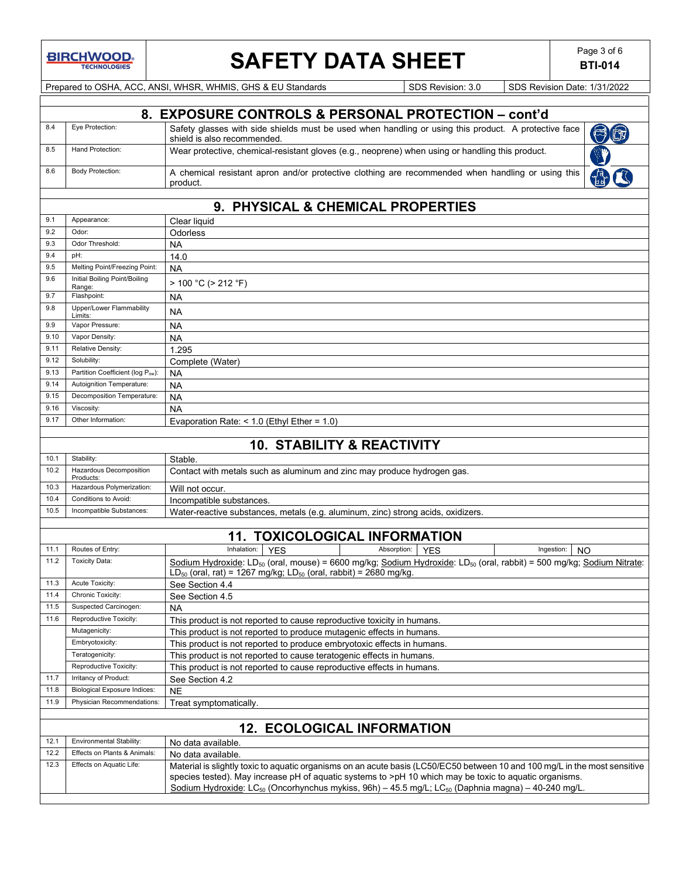**BIRCHWOOD** 

# **SAFETY DATA SHEET** Page 3 of 6

**BTI-014**

Prepared to OSHA, ACC, ANSI, WHSR, WHMIS, GHS & EU Standards SDS Revision: 3.0 SDS Revision Date: 1/31/2022

|              |                                                                | 8. EXPOSURE CONTROLS & PERSONAL PROTECTION - cont'd                                                                                                                                                                                                                                                                                                                |  |
|--------------|----------------------------------------------------------------|--------------------------------------------------------------------------------------------------------------------------------------------------------------------------------------------------------------------------------------------------------------------------------------------------------------------------------------------------------------------|--|
| 8.4          | Eye Protection:                                                | Safety glasses with side shields must be used when handling or using this product. A protective face<br>U CT<br>shield is also recommended.                                                                                                                                                                                                                        |  |
| 8.5          | Hand Protection:                                               | Wear protective, chemical-resistant gloves (e.g., neoprene) when using or handling this product.                                                                                                                                                                                                                                                                   |  |
| 8.6          | <b>Body Protection:</b>                                        | A chemical resistant apron and/or protective clothing are recommended when handling or using this<br>product.                                                                                                                                                                                                                                                      |  |
|              |                                                                |                                                                                                                                                                                                                                                                                                                                                                    |  |
|              |                                                                | 9. PHYSICAL & CHEMICAL PROPERTIES                                                                                                                                                                                                                                                                                                                                  |  |
| 9.1          | Appearance:                                                    | Clear liquid                                                                                                                                                                                                                                                                                                                                                       |  |
| 9.2          | Odor:                                                          | Odorless                                                                                                                                                                                                                                                                                                                                                           |  |
| 9.3          | Odor Threshold:                                                | NA                                                                                                                                                                                                                                                                                                                                                                 |  |
| 9.4          | pH:                                                            | 14.0                                                                                                                                                                                                                                                                                                                                                               |  |
| 9.5<br>9.6   | Melting Point/Freezing Point:<br>Initial Boiling Point/Boiling | <b>NA</b>                                                                                                                                                                                                                                                                                                                                                          |  |
|              | Range:                                                         | $> 100 °C$ ( $> 212 °F$ )                                                                                                                                                                                                                                                                                                                                          |  |
| 9.7          | Flashpoint:                                                    | NA                                                                                                                                                                                                                                                                                                                                                                 |  |
| 9.8          | Upper/Lower Flammability<br>Limits:                            | NA                                                                                                                                                                                                                                                                                                                                                                 |  |
| 9.9          | Vapor Pressure:                                                | NA                                                                                                                                                                                                                                                                                                                                                                 |  |
| 9.10         | Vapor Density:                                                 | NA                                                                                                                                                                                                                                                                                                                                                                 |  |
| 9.11         | Relative Density:                                              | 1.295                                                                                                                                                                                                                                                                                                                                                              |  |
| 9.12<br>9.13 | Solubility:                                                    | Complete (Water)                                                                                                                                                                                                                                                                                                                                                   |  |
| 9.14         | Partition Coefficient (log Pow):<br>Autoignition Temperature:  | NA                                                                                                                                                                                                                                                                                                                                                                 |  |
| 9.15         | Decomposition Temperature:                                     | NA<br><b>NA</b>                                                                                                                                                                                                                                                                                                                                                    |  |
| 9.16         | Viscosity:                                                     | <b>NA</b>                                                                                                                                                                                                                                                                                                                                                          |  |
| 9.17         | Other Information:                                             | Evaporation Rate: $<$ 1.0 (Ethyl Ether = 1.0)                                                                                                                                                                                                                                                                                                                      |  |
|              |                                                                |                                                                                                                                                                                                                                                                                                                                                                    |  |
|              |                                                                | <b>10. STABILITY &amp; REACTIVITY</b>                                                                                                                                                                                                                                                                                                                              |  |
| 10.1         | Stability:                                                     | Stable.                                                                                                                                                                                                                                                                                                                                                            |  |
| 10.2         | Hazardous Decomposition<br>Products:                           | Contact with metals such as aluminum and zinc may produce hydrogen gas.                                                                                                                                                                                                                                                                                            |  |
| 10.3         | Hazardous Polymerization:                                      | Will not occur.                                                                                                                                                                                                                                                                                                                                                    |  |
| 10.4         | Conditions to Avoid:                                           | Incompatible substances.                                                                                                                                                                                                                                                                                                                                           |  |
| 10.5         | Incompatible Substances:                                       | Water-reactive substances, metals (e.g. aluminum, zinc) strong acids, oxidizers.                                                                                                                                                                                                                                                                                   |  |
|              |                                                                | <b>11. TOXICOLOGICAL INFORMATION</b>                                                                                                                                                                                                                                                                                                                               |  |
| 11.1         | Routes of Entry:                                               | Inhalation:<br>Absorption:<br><b>YES</b><br><b>YES</b><br>Ingestion:<br><b>NO</b>                                                                                                                                                                                                                                                                                  |  |
| 11.2         | <b>Toxicity Data:</b>                                          | Sodium Hydroxide: LD <sub>50</sub> (oral, mouse) = 6600 mg/kg; Sodium Hydroxide: LD <sub>50</sub> (oral, rabbit) = 500 mg/kg; Sodium Nitrate:<br>$LD_{50}$ (oral, rat) = 1267 mg/kg; $LD_{50}$ (oral, rabbit) = 2680 mg/kg                                                                                                                                         |  |
| 11.3         | Acute Toxicity:                                                | See Section 4.4                                                                                                                                                                                                                                                                                                                                                    |  |
| 11.4         | Chronic Toxicity:                                              | See Section 4.5                                                                                                                                                                                                                                                                                                                                                    |  |
| 11.5         | Suspected Carcinogen:                                          | NA                                                                                                                                                                                                                                                                                                                                                                 |  |
| 11.6         | Reproductive Toxicity:                                         | This product is not reported to cause reproductive toxicity in humans.                                                                                                                                                                                                                                                                                             |  |
|              | Mutagenicity:<br>Embryotoxicity:                               | This product is not reported to produce mutagenic effects in humans.                                                                                                                                                                                                                                                                                               |  |
|              | Teratogenicity:                                                | This product is not reported to produce embryotoxic effects in humans.<br>This product is not reported to cause teratogenic effects in humans.                                                                                                                                                                                                                     |  |
|              | Reproductive Toxicity:                                         | This product is not reported to cause reproductive effects in humans.                                                                                                                                                                                                                                                                                              |  |
| 11.7         | Irritancy of Product:                                          | See Section 4.2                                                                                                                                                                                                                                                                                                                                                    |  |
| 11.8         | <b>Biological Exposure Indices:</b>                            | <b>NE</b>                                                                                                                                                                                                                                                                                                                                                          |  |
| 11.9         | Physician Recommendations:                                     | Treat symptomatically.                                                                                                                                                                                                                                                                                                                                             |  |
|              |                                                                |                                                                                                                                                                                                                                                                                                                                                                    |  |
|              |                                                                | <b>12. ECOLOGICAL INFORMATION</b>                                                                                                                                                                                                                                                                                                                                  |  |
| 12.1         | Environmental Stability:                                       | No data available.                                                                                                                                                                                                                                                                                                                                                 |  |
| 12.2         | Effects on Plants & Animals:                                   | No data available.                                                                                                                                                                                                                                                                                                                                                 |  |
| 12.3         | Effects on Aquatic Life:                                       | Material is slightly toxic to aquatic organisms on an acute basis (LC50/EC50 between 10 and 100 mg/L in the most sensitive<br>species tested). May increase pH of aquatic systems to >pH 10 which may be toxic to aquatic organisms.<br>Sodium Hydroxide: LC <sub>50</sub> (Oncorhynchus mykiss, 96h) - 45.5 mg/L; LC <sub>50</sub> (Daphnia magna) - 40-240 mg/L. |  |
|              |                                                                |                                                                                                                                                                                                                                                                                                                                                                    |  |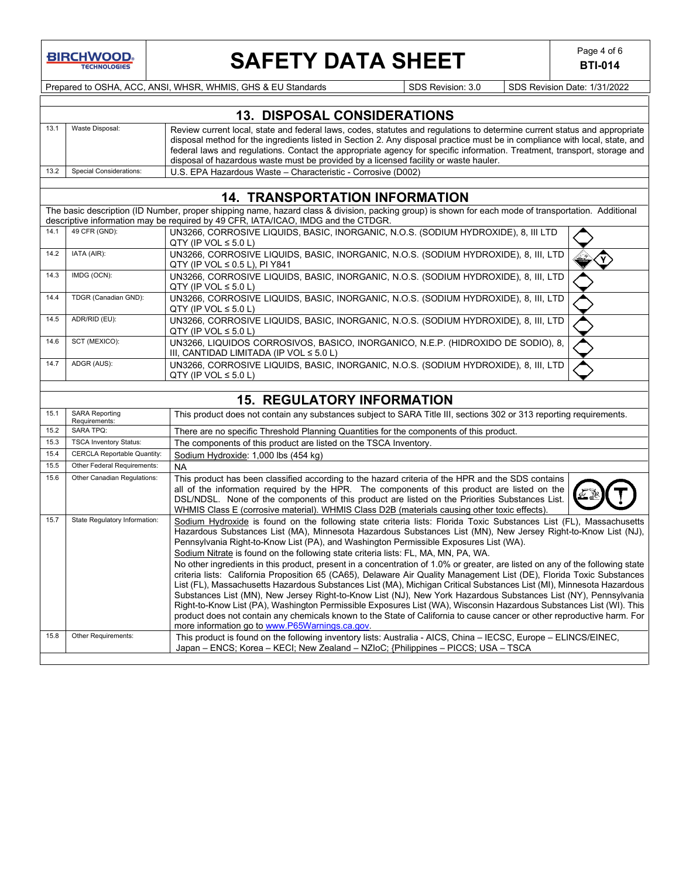

# **SAFETY DATA SHEET** Page 4 of 6

**BTI-014**

Prepared to OSHA, ACC, ANSI, WHSR, WHMIS, GHS & EU Standards Supersons SDS Revision: 3.0 SDS Revision Date: 1/31/2022

|      | <b>13. DISPOSAL CONSIDERATIONS</b> |                                                                                                                                                                                                                                                                                                                                                                                                                                                                              |  |  |  |  |  |  |
|------|------------------------------------|------------------------------------------------------------------------------------------------------------------------------------------------------------------------------------------------------------------------------------------------------------------------------------------------------------------------------------------------------------------------------------------------------------------------------------------------------------------------------|--|--|--|--|--|--|
|      | Waste Disposal:                    | Review current local, state and federal laws, codes, statutes and regulations to determine current status and appropriate<br>disposal method for the ingredients listed in Section 2. Any disposal practice must be in compliance with local, state, and<br>federal laws and regulations. Contact the appropriate agency for specific information. Treatment, transport, storage and<br>disposal of hazardous waste must be provided by a licensed facility or waste hauler. |  |  |  |  |  |  |
| 13.2 | <b>Special Considerations:</b>     | U.S. EPA Hazardous Waste – Characteristic - Corrosive (D002)                                                                                                                                                                                                                                                                                                                                                                                                                 |  |  |  |  |  |  |
|      |                                    |                                                                                                                                                                                                                                                                                                                                                                                                                                                                              |  |  |  |  |  |  |

### **14. TRANSPORTATION INFORMATION** The basic description (ID Number, proper shipping name, hazard class & division, packing group) is shown for each mode of transportation. Additional descriptive information may be required by 49 CFR, IATA/ICAO, IMDG and the CTDGR.<br>14.1 49 CFR (GND): UN3266 CORROSIVE LIQUIDS, BASIC, INORGANIC 14.1 49 CFR (GND): UN3266, CORROSIVE LIQUIDS, BASIC, INORGANIC, N.O.S. (SODIUM HYDROXIDE), 8, III LTD QTY (IP VOL  $\leq 5.0$  L) 14.2 IATA (AIR): UN3266, CORROSIVE LIQUIDS, BASIC, INORGANIC, N.O.S. (SODIUM HYDROXIDE), 8, III, LTD  $\left\langle \widehat{\mathbf{Y}}\right\rangle$ QTY (IP VOL ≤ 0.5 L), PI Y841 14.3 IMDG (OCN): UN3266, CORROSIVE LIQUIDS, BASIC, INORGANIC, N.O.S. (SODIUM HYDROXIDE), 8, III, LTD QTY (IP VOL  $\leq 5.0$  L) 14.4 TDGR (Canadian GND): UN3266, CORROSIVE LIQUIDS, BASIC, INORGANIC, N.O.S. (SODIUM HYDROXIDE), 8, III, LTD QTY (IP VOL  $\leq 5.0$  L) 14.5 ADR/RID (EU): UN3266, CORROSIVE LIQUIDS, BASIC, INORGANIC, N.O.S. (SODIUM HYDROXIDE), 8, III, LTD QTY (IP VOL  $\leq 5.0$  L) 14.6 SCT (MEXICO): UN3266, LIQUIDOS CORROSIVOS, BASICO, INORGANICO, N.E.P. (HIDROXIDO DE SODIO), 8, III, CANTIDAD LIMITADA (IP VOL ≤ 5.0 L) 14.7 ADGR (AUS): UN3266, CORROSIVE LIQUIDS, BASIC, INORGANIC, N.O.S. (SODIUM HYDROXIDE), 8, III, LTD QTY (IP VOL  $\leq 5.0$  L) **15. REGULATORY INFORMATION** 15.1 SARA Reporting<br>Requirements: This product does not contain any substances subject to SARA Title III, sections 302 or 313 reporting requirements. 15.2 SARA TPQ: There are no specific Threshold Planning Quantities for the components of this product. 15.3 | TSCA Inventory Status: The components of this product are listed on the TSCA Inventory 15.4 CERCLA Reportable Quantity: Sodium Hydroxide: 1,000 lbs (454 kg) 15.5 Other Federal Requirements: NA<br>15.6 Other Canadian Regulations: Thi This product has been classified according to the hazard criteria of the HPR and the SDS contains all of the information required by the HPR. The components of this product are listed on the DSL/NDSL. None of the components of this product are listed on the Priorities Substances List. WHMIS Class E (corrosive material). WHMIS Class D2B (materials causing other toxic effects).

15.7 State Regulatory Information: Sodium Hydroxide is found on the following state criteria lists: Florida Toxic Substances List (FL), Massachusetts

15.8 Other Requirements: This product is found on the following inventory lists: Australia - AICS, China – IECSC, Europe – ELINCS/EINEC,

Japan – ENCS; Korea – KECI; New Zealand – NZIoC; {Philippines – PICCS; USA – TSCA

more information go to www.P65Warnings.ca.gov

Pennsylvania Right-to-Know List (PA), and Washington Permissible Exposures List (WA). Sodium Nitrate is found on the following state criteria lists: FL, MA, MN, PA, WA.

Hazardous Substances List (MA), Minnesota Hazardous Substances List (MN), New Jersey Right-to-Know List (NJ),

No other ingredients in this product, present in a concentration of 1.0% or greater, are listed on any of the following state criteria lists: California Proposition 65 (CA65), Delaware Air Quality Management List (DE), Florida Toxic Substances List (FL), Massachusetts Hazardous Substances List (MA), Michigan Critical Substances List (MI), Minnesota Hazardous Substances List (MN), New Jersey Right-to-Know List (NJ), New York Hazardous Substances List (NY), Pennsylvania Right-to-Know List (PA), Washington Permissible Exposures List (WA), Wisconsin Hazardous Substances List (WI). This product does not contain any chemicals known to the State of California to cause cancer or other reproductive harm. For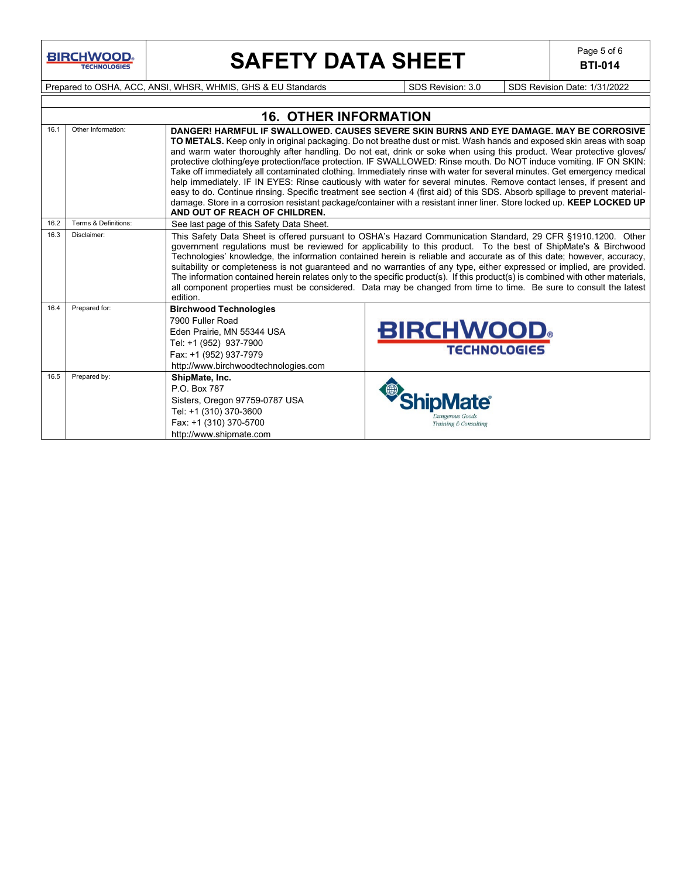

# **SAFETY DATA SHEET** Page 5 of 6

**BTI-014**

Prepared to OSHA, ACC, ANSI, WHSR, WHMIS, GHS & EU Standards Superinted SDS Revision: 3.0 SDS Revision Date: 1/31/2022

|      | <b>16. OTHER INFORMATION</b>                                                                                                                                                                                                                                                                                                                                                                                                                                                                                                                                                                                                                                                                                                                                                                                                                                                                                                                                                                                                      |                                                                                                                                                                                                                                                                                                                                                                                                                                                                                                                                                                                                                                                                                                                                                          |                                         |  |  |  |  |  |  |
|------|-----------------------------------------------------------------------------------------------------------------------------------------------------------------------------------------------------------------------------------------------------------------------------------------------------------------------------------------------------------------------------------------------------------------------------------------------------------------------------------------------------------------------------------------------------------------------------------------------------------------------------------------------------------------------------------------------------------------------------------------------------------------------------------------------------------------------------------------------------------------------------------------------------------------------------------------------------------------------------------------------------------------------------------|----------------------------------------------------------------------------------------------------------------------------------------------------------------------------------------------------------------------------------------------------------------------------------------------------------------------------------------------------------------------------------------------------------------------------------------------------------------------------------------------------------------------------------------------------------------------------------------------------------------------------------------------------------------------------------------------------------------------------------------------------------|-----------------------------------------|--|--|--|--|--|--|
| 16.1 | Other Information:<br>DANGER! HARMFUL IF SWALLOWED, CAUSES SEVERE SKIN BURNS AND EYE DAMAGE. MAY BE CORROSIVE<br>TO METALS. Keep only in original packaging. Do not breathe dust or mist. Wash hands and exposed skin areas with soap<br>and warm water thoroughly after handling. Do not eat, drink or soke when using this product. Wear protective gloves/<br>protective clothing/eye protection/face protection. IF SWALLOWED: Rinse mouth. Do NOT induce vomiting. IF ON SKIN:<br>Take off immediately all contaminated clothing. Immediately rinse with water for several minutes. Get emergency medical<br>help immediately. IF IN EYES: Rinse cautiously with water for several minutes. Remove contact lenses, if present and<br>easy to do. Continue rinsing. Specific treatment see section 4 (first aid) of this SDS. Absorb spillage to prevent material-<br>damage. Store in a corrosion resistant package/container with a resistant inner liner. Store locked up. KEEP LOCKED UP<br>AND OUT OF REACH OF CHILDREN. |                                                                                                                                                                                                                                                                                                                                                                                                                                                                                                                                                                                                                                                                                                                                                          |                                         |  |  |  |  |  |  |
| 16.2 | Terms & Definitions:                                                                                                                                                                                                                                                                                                                                                                                                                                                                                                                                                                                                                                                                                                                                                                                                                                                                                                                                                                                                              | See last page of this Safety Data Sheet.                                                                                                                                                                                                                                                                                                                                                                                                                                                                                                                                                                                                                                                                                                                 |                                         |  |  |  |  |  |  |
| 16.3 | Disclaimer:                                                                                                                                                                                                                                                                                                                                                                                                                                                                                                                                                                                                                                                                                                                                                                                                                                                                                                                                                                                                                       | This Safety Data Sheet is offered pursuant to OSHA's Hazard Communication Standard, 29 CFR §1910.1200. Other<br>government regulations must be reviewed for applicability to this product. To the best of ShipMate's & Birchwood<br>Technologies' knowledge, the information contained herein is reliable and accurate as of this date; however, accuracy,<br>suitability or completeness is not guaranteed and no warranties of any type, either expressed or implied, are provided.<br>The information contained herein relates only to the specific product(s). If this product(s) is combined with other materials,<br>all component properties must be considered. Data may be changed from time to time. Be sure to consult the latest<br>edition. |                                         |  |  |  |  |  |  |
| 16.4 | Prepared for:                                                                                                                                                                                                                                                                                                                                                                                                                                                                                                                                                                                                                                                                                                                                                                                                                                                                                                                                                                                                                     | <b>Birchwood Technologies</b><br>7900 Fuller Road<br>Eden Prairie, MN 55344 USA<br>Tel: +1 (952) 937-7900<br>Fax: +1 (952) 937-7979<br>http://www.birchwoodtechnologies.com                                                                                                                                                                                                                                                                                                                                                                                                                                                                                                                                                                              | <b>BIRCHWOOD</b><br><b>TECHNOLOGIES</b> |  |  |  |  |  |  |
| 16.5 | Prepared by:                                                                                                                                                                                                                                                                                                                                                                                                                                                                                                                                                                                                                                                                                                                                                                                                                                                                                                                                                                                                                      | ShipMate, Inc.<br>P O Box 787<br>Sisters, Oregon 97759-0787 USA<br>Tel: +1 (310) 370-3600<br>Fax: +1 (310) 370-5700<br>http://www.shipmate.com                                                                                                                                                                                                                                                                                                                                                                                                                                                                                                                                                                                                           | Training & Consulting                   |  |  |  |  |  |  |